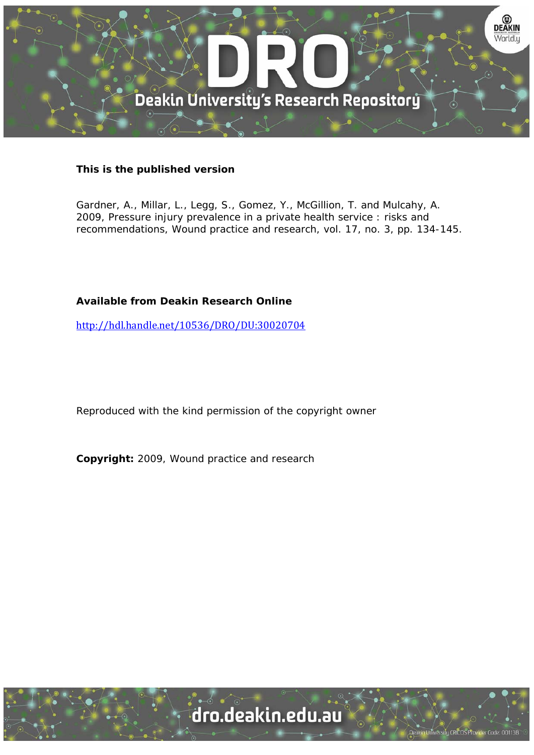

# **This is the published version**

Gardner, A., Millar, L., Legg, S., Gomez, Y., McGillion, T. and Mulcahy, A. 2009, Pressure injury prevalence in a private health service : risks and recommendations, Wound practice and research, vol. 17, no. 3, pp. 134-145.

# **Available from Deakin Research Online**

http://hdl.handle.net/10536/DRO/DU:30020704

Reproduced with the kind permission of the copyright owner

**Copyright:** 2009, Wound practice and research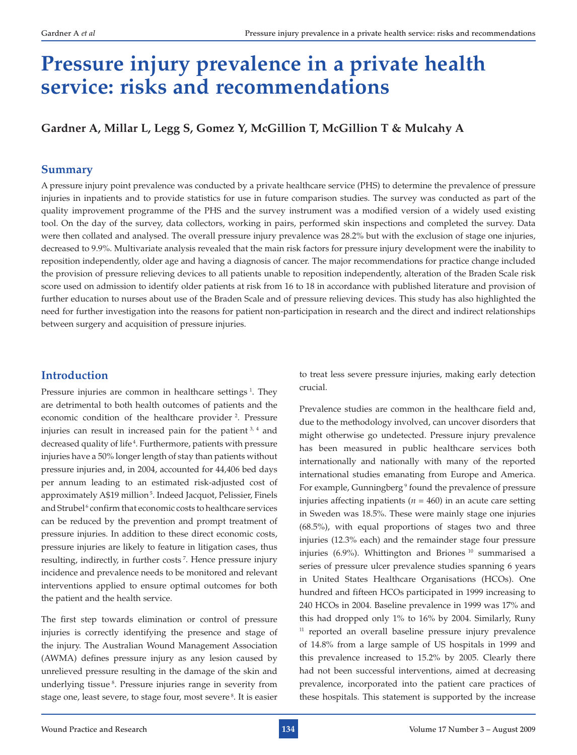# **Pressure injury prevalence in a private health service: risks and recommendations**

**Gardner A, Millar L, Legg S, Gomez Y, McGillion T, McGillion T & Mulcahy A**

#### **Summary**

A pressure injury point prevalence was conducted by a private healthcare service (PHS) to determine the prevalence of pressure injuries in inpatients and to provide statistics for use in future comparison studies. The survey was conducted as part of the quality improvement programme of the PHS and the survey instrument was a modified version of a widely used existing tool. On the day of the survey, data collectors, working in pairs, performed skin inspections and completed the survey. Data were then collated and analysed. The overall pressure injury prevalence was 28.2% but with the exclusion of stage one injuries, decreased to 9.9%. Multivariate analysis revealed that the main risk factors for pressure injury development were the inability to reposition independently, older age and having a diagnosis of cancer. The major recommendations for practice change included the provision of pressure relieving devices to all patients unable to reposition independently, alteration of the Braden Scale risk score used on admission to identify older patients at risk from 16 to 18 in accordance with published literature and provision of further education to nurses about use of the Braden Scale and of pressure relieving devices. This study has also highlighted the need for further investigation into the reasons for patient non-participation in research and the direct and indirect relationships between surgery and acquisition of pressure injuries.

# **Introduction**

Pressure injuries are common in healthcare settings<sup>1</sup>. They are detrimental to both health outcomes of patients and the economic condition of the healthcare provider <sup>2</sup>. Pressure injuries can result in increased pain for the patient 3, 4 and decreased quality of life<sup>4</sup>. Furthermore, patients with pressure injuries have a 50% longer length of stay than patients without pressure injuries and, in 2004, accounted for 44,406 bed days per annum leading to an estimated risk-adjusted cost of approximately A\$19 million<sup>5</sup>. Indeed Jacquot, Pelissier, Finels and Strubel<sup>6</sup> confirm that economic costs to healthcare services can be reduced by the prevention and prompt treatment of pressure injuries. In addition to these direct economic costs, pressure injuries are likely to feature in litigation cases, thus resulting, indirectly, in further costs 7. Hence pressure injury incidence and prevalence needs to be monitored and relevant interventions applied to ensure optimal outcomes for both the patient and the health service.

The first step towards elimination or control of pressure injuries is correctly identifying the presence and stage of the injury. The Australian Wound Management Association (AWMA) defines pressure injury as any lesion caused by unrelieved pressure resulting in the damage of the skin and underlying tissue<sup>8</sup>. Pressure injuries range in severity from stage one, least severe, to stage four, most severe 8. It is easier

to treat less severe pressure injuries, making early detection crucial.

Prevalence studies are common in the healthcare field and, due to the methodology involved, can uncover disorders that might otherwise go undetected. Pressure injury prevalence has been measured in public healthcare services both internationally and nationally with many of the reported international studies emanating from Europe and America. For example, Gunningberg<sup>9</sup> found the prevalence of pressure injuries affecting inpatients ( $n = 460$ ) in an acute care setting in Sweden was 18.5%. These were mainly stage one injuries (68.5%), with equal proportions of stages two and three injuries (12.3% each) and the remainder stage four pressure injuries (6.9%). Whittington and Briones<sup>10</sup> summarised a series of pressure ulcer prevalence studies spanning 6 years in United States Healthcare Organisations (HCOs). One hundred and fifteen HCOs participated in 1999 increasing to 240 HCOs in 2004. Baseline prevalence in 1999 was 17% and this had dropped only 1% to 16% by 2004. Similarly, Runy <sup>11</sup> reported an overall baseline pressure injury prevalence of 14.8% from a large sample of US hospitals in 1999 and this prevalence increased to 15.2% by 2005. Clearly there had not been successful interventions, aimed at decreasing prevalence, incorporated into the patient care practices of these hospitals. This statement is supported by the increase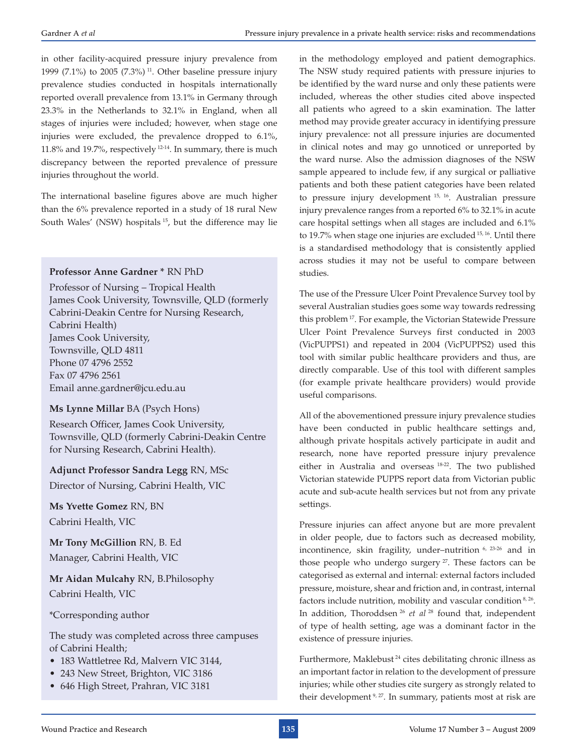in other facility-acquired pressure injury prevalence from 1999 (7.1%) to 2005 (7.3%)<sup>11</sup>. Other baseline pressure injury prevalence studies conducted in hospitals internationally reported overall prevalence from 13.1% in Germany through 23.3% in the Netherlands to 32.1% in England, when all stages of injuries were included; however, when stage one injuries were excluded, the prevalence dropped to 6.1%, 11.8% and 19.7%, respectively 12-14. In summary, there is much discrepancy between the reported prevalence of pressure injuries throughout the world.

The international baseline figures above are much higher than the 6% prevalence reported in a study of 18 rural New South Wales' (NSW) hospitals <sup>15</sup>, but the difference may lie

#### **Professor Anne Gardner \*** RN PhD

Professor of Nursing – Tropical Health James Cook University, Townsville, QLD (formerly Cabrini-Deakin Centre for Nursing Research, Cabrini Health) James Cook University, Townsville, QLD 4811 Phone 07 4796 2552 Fax 07 4796 2561 Email anne.gardner@jcu.edu.au

#### **Ms Lynne Millar** BA (Psych Hons)

Research Officer, James Cook University, Townsville, QLD (formerly Cabrini-Deakin Centre for Nursing Research, Cabrini Health).

# **Adjunct Professor Sandra Legg** RN, MSc

Director of Nursing, Cabrini Health, VIC

**Ms Yvette Gomez** RN, BN Cabrini Health, VIC

**Mr Tony McGillion** RN, B. Ed Manager, Cabrini Health, VIC

**Mr Aidan Mulcahy** RN, B.Philosophy Cabrini Health, VIC

\*Corresponding author

The study was completed across three campuses of Cabrini Health;

- 183 Wattletree Rd, Malvern VIC 3144,
- 243 New Street, Brighton, VIC 3186
- 646 High Street, Prahran, VIC 3181

in the methodology employed and patient demographics. The NSW study required patients with pressure injuries to be identified by the ward nurse and only these patients were included, whereas the other studies cited above inspected all patients who agreed to a skin examination. The latter method may provide greater accuracy in identifying pressure injury prevalence: not all pressure injuries are documented in clinical notes and may go unnoticed or unreported by the ward nurse. Also the admission diagnoses of the NSW sample appeared to include few, if any surgical or palliative patients and both these patient categories have been related to pressure injury development 15, 16. Australian pressure injury prevalence ranges from a reported 6% to 32.1% in acute care hospital settings when all stages are included and 6.1% to 19.7% when stage one injuries are excluded 15, 16. Until there is a standardised methodology that is consistently applied across studies it may not be useful to compare between studies.

The use of the Pressure Ulcer Point Prevalence Survey tool by several Australian studies goes some way towards redressing this problem 17. For example, the Victorian Statewide Pressure Ulcer Point Prevalence Surveys first conducted in 2003 (VicPUPPS1) and repeated in 2004 (VicPUPPS2) used this tool with similar public healthcare providers and thus, are directly comparable. Use of this tool with different samples (for example private healthcare providers) would provide useful comparisons.

All of the abovementioned pressure injury prevalence studies have been conducted in public healthcare settings and, although private hospitals actively participate in audit and research, none have reported pressure injury prevalence either in Australia and overseas 18-22. The two published Victorian statewide PUPPS report data from Victorian public acute and sub-acute health services but not from any private settings.

Pressure injuries can affect anyone but are more prevalent in older people, due to factors such as decreased mobility, incontinence, skin fragility, under-nutrition <sup>6, 23-26</sup> and in those people who undergo surgery  $27$ . These factors can be categorised as external and internal: external factors included pressure, moisture, shear and friction and, in contrast, internal factors include nutrition, mobility and vascular condition<sup>8, 26</sup>. In addition, Thoroddsen 26 *et al* 28 found that, independent of type of health setting, age was a dominant factor in the existence of pressure injuries.

Furthermore, Maklebust<sup>24</sup> cites debilitating chronic illness as an important factor in relation to the development of pressure injuries; while other studies cite surgery as strongly related to their development<sup>9, 27</sup>. In summary, patients most at risk are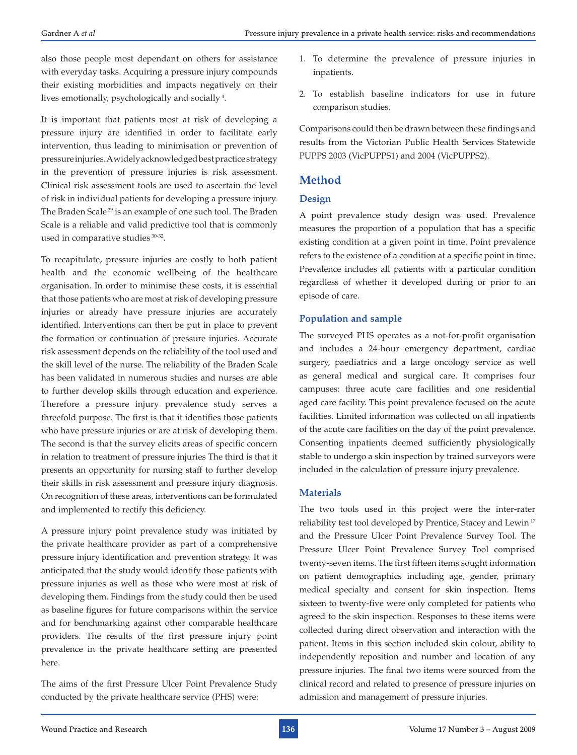also those people most dependant on others for assistance with everyday tasks. Acquiring a pressure injury compounds their existing morbidities and impacts negatively on their lives emotionally, psychologically and socially 4.

It is important that patients most at risk of developing a pressure injury are identified in order to facilitate early intervention, thus leading to minimisation or prevention of pressure injuries. A widely acknowledged best practice strategy in the prevention of pressure injuries is risk assessment. Clinical risk assessment tools are used to ascertain the level of risk in individual patients for developing a pressure injury. The Braden Scale<sup>29</sup> is an example of one such tool. The Braden Scale is a reliable and valid predictive tool that is commonly used in comparative studies 30-32.

To recapitulate, pressure injuries are costly to both patient health and the economic wellbeing of the healthcare organisation. In order to minimise these costs, it is essential that those patients who are most at risk of developing pressure injuries or already have pressure injuries are accurately identified. Interventions can then be put in place to prevent the formation or continuation of pressure injuries. Accurate risk assessment depends on the reliability of the tool used and the skill level of the nurse. The reliability of the Braden Scale has been validated in numerous studies and nurses are able to further develop skills through education and experience. Therefore a pressure injury prevalence study serves a threefold purpose. The first is that it identifies those patients who have pressure injuries or are at risk of developing them. The second is that the survey elicits areas of specific concern in relation to treatment of pressure injuries The third is that it presents an opportunity for nursing staff to further develop their skills in risk assessment and pressure injury diagnosis. On recognition of these areas, interventions can be formulated and implemented to rectify this deficiency.

A pressure injury point prevalence study was initiated by the private healthcare provider as part of a comprehensive pressure injury identification and prevention strategy. It was anticipated that the study would identify those patients with pressure injuries as well as those who were most at risk of developing them. Findings from the study could then be used as baseline figures for future comparisons within the service and for benchmarking against other comparable healthcare providers. The results of the first pressure injury point prevalence in the private healthcare setting are presented here.

The aims of the first Pressure Ulcer Point Prevalence Study conducted by the private healthcare service (PHS) were:

- 1. To determine the prevalence of pressure injuries in inpatients.
- 2. To establish baseline indicators for use in future comparison studies.

Comparisons could then be drawn between these findings and results from the Victorian Public Health Services Statewide PUPPS 2003 (VicPUPPS1) and 2004 (VicPUPPS2).

# **Method**

#### **Design**

A point prevalence study design was used. Prevalence measures the proportion of a population that has a specific existing condition at a given point in time. Point prevalence refers to the existence of a condition at a specific point in time. Prevalence includes all patients with a particular condition regardless of whether it developed during or prior to an episode of care.

#### **Population and sample**

The surveyed PHS operates as a not-for-profit organisation and includes a 24-hour emergency department, cardiac surgery, paediatrics and a large oncology service as well as general medical and surgical care. It comprises four campuses: three acute care facilities and one residential aged care facility. This point prevalence focused on the acute facilities. Limited information was collected on all inpatients of the acute care facilities on the day of the point prevalence. Consenting inpatients deemed sufficiently physiologically stable to undergo a skin inspection by trained surveyors were included in the calculation of pressure injury prevalence.

#### **Materials**

The two tools used in this project were the inter-rater reliability test tool developed by Prentice, Stacey and Lewin 17 and the Pressure Ulcer Point Prevalence Survey Tool. The Pressure Ulcer Point Prevalence Survey Tool comprised twenty-seven items. The first fifteen items sought information on patient demographics including age, gender, primary medical specialty and consent for skin inspection. Items sixteen to twenty-five were only completed for patients who agreed to the skin inspection. Responses to these items were collected during direct observation and interaction with the patient. Items in this section included skin colour, ability to independently reposition and number and location of any pressure injuries. The final two items were sourced from the clinical record and related to presence of pressure injuries on admission and management of pressure injuries.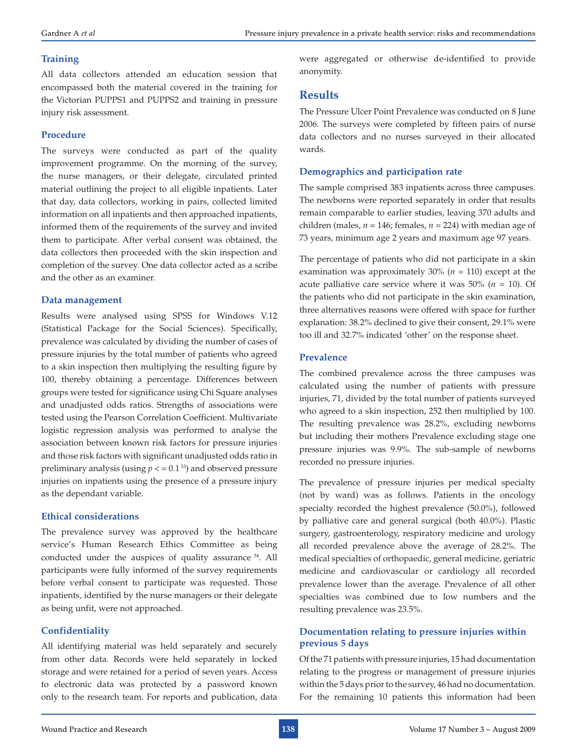#### **Training**

All data collectors attended an education session that encompassed both the material covered in the training for the Victorian PUPPS1 and PUPPS2 and training in pressure injury risk assessment.

#### **Procedure**

The surveys were conducted as part of the quality improvement programme. On the morning of the survey, the nurse managers, or their delegate, circulated printed material outlining the project to all eligible inpatients. Later that day, data collectors, working in pairs, collected limited information on all inpatients and then approached inpatients, informed them of the requirements of the survey and invited them to participate. After verbal consent was obtained, the data collectors then proceeded with the skin inspection and completion of the survey. One data collector acted as a scribe and the other as an examiner.

#### **Data management**

Results were analysed using SPSS for Windows V.12 (Statistical Package for the Social Sciences). Specifically, prevalence was calculated by dividing the number of cases of pressure injuries by the total number of patients who agreed to a skin inspection then multiplying the resulting figure by 100, thereby obtaining a percentage. Differences between groups were tested for significance using Chi Square analyses and unadjusted odds ratios. Strengths of associations were tested using the Pearson Correlation Coefficient. Multivariate logistic regression analysis was performed to analyse the association between known risk factors for pressure injuries and those risk factors with significant unadjusted odds ratio in preliminary analysis (using  $p < 0.1^{33}$ ) and observed pressure injuries on inpatients using the presence of a pressure injury as the dependant variable.

#### **Ethical considerations**

The prevalence survey was approved by the healthcare service's Human Research Ethics Committee as being conducted under the auspices of quality assurance 34. All participants were fully informed of the survey requirements before verbal consent to participate was requested. Those inpatients, identified by the nurse managers or their delegate as being unfit, were not approached.

#### **Confidentiality**

All identifying material was held separately and securely from other data. Records were held separately in locked storage and were retained for a period of seven years. Access to electronic data was protected by a password known only to the research team. For reports and publication, data

were aggregated or otherwise de-identified to provide anonymity.

### **Results**

The Pressure Ulcer Point Prevalence was conducted on 8 June 2006. The surveys were completed by fifteen pairs of nurse data collectors and no nurses surveyed in their allocated wards.

#### **Demographics and participation rate**

The sample comprised 383 inpatients across three campuses. The newborns were reported separately in order that results remain comparable to earlier studies, leaving 370 adults and children (males,  $n = 146$ ; females,  $n = 224$ ) with median age of 73 years, minimum age 2 years and maximum age 97 years.

The percentage of patients who did not participate in a skin examination was approximately 30% (*n* = 110) except at the acute palliative care service where it was  $50\%$  ( $n = 10$ ). Of the patients who did not participate in the skin examination, three alternatives reasons were offered with space for further explanation: 38.2% declined to give their consent, 29.1% were too ill and 32.7% indicated 'other' on the response sheet.

#### **Prevalence**

The combined prevalence across the three campuses was calculated using the number of patients with pressure injuries, 71, divided by the total number of patients surveyed who agreed to a skin inspection, 252 then multiplied by 100. The resulting prevalence was 28.2%, excluding newborns but including their mothers Prevalence excluding stage one pressure injuries was 9.9%. The sub-sample of newborns recorded no pressure injuries.

The prevalence of pressure injuries per medical specialty (not by ward) was as follows. Patients in the oncology specialty recorded the highest prevalence (50.0%), followed by palliative care and general surgical (both 40.0%). Plastic surgery, gastroenterology, respiratory medicine and urology all recorded prevalence above the average of 28.2%. The medical specialties of orthopaedic, general medicine, geriatric medicine and cardiovascular or cardiology all recorded prevalence lower than the average. Prevalence of all other specialties was combined due to low numbers and the resulting prevalence was 23.5%.

#### **Documentation relating to pressure injuries within previous 5 days**

Of the 71 patients with pressure injuries, 15 had documentation relating to the progress or management of pressure injuries within the 5 days prior to the survey, 46 had no documentation. For the remaining 10 patients this information had been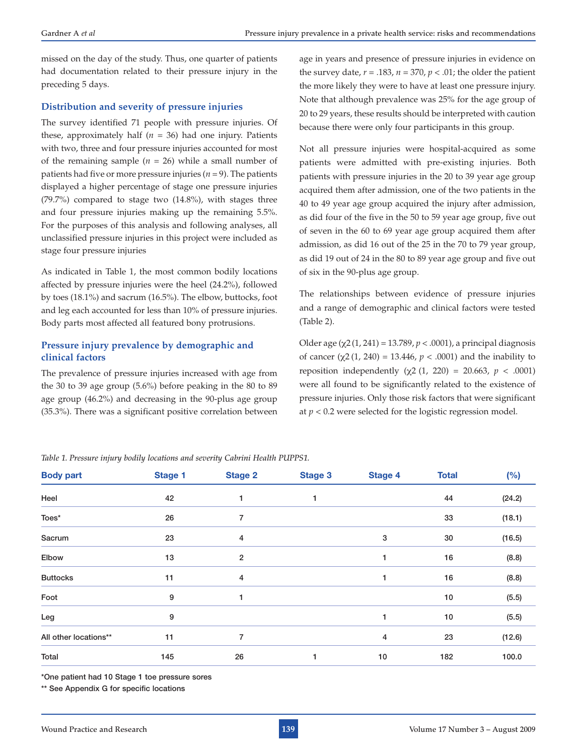missed on the day of the study. Thus, one quarter of patients had documentation related to their pressure injury in the preceding 5 days.

#### **Distribution and severity of pressure injuries**

The survey identified 71 people with pressure injuries. Of these, approximately half (*n* = 36) had one injury. Patients with two, three and four pressure injuries accounted for most of the remaining sample  $(n = 26)$  while a small number of patients had five or more pressure injuries ( $n = 9$ ). The patients displayed a higher percentage of stage one pressure injuries (79.7%) compared to stage two (14.8%), with stages three and four pressure injuries making up the remaining 5.5%. For the purposes of this analysis and following analyses, all unclassified pressure injuries in this project were included as stage four pressure injuries

As indicated in Table 1, the most common bodily locations affected by pressure injuries were the heel (24.2%), followed by toes (18.1%) and sacrum (16.5%). The elbow, buttocks, foot and leg each accounted for less than 10% of pressure injuries. Body parts most affected all featured bony protrusions.

#### **Pressure injury prevalence by demographic and clinical factors**

The prevalence of pressure injuries increased with age from the 30 to 39 age group (5.6%) before peaking in the 80 to 89 age group (46.2%) and decreasing in the 90-plus age group (35.3%). There was a significant positive correlation between

age in years and presence of pressure injuries in evidence on the survey date,  $r = .183$ ,  $n = 370$ ,  $p < .01$ ; the older the patient the more likely they were to have at least one pressure injury. Note that although prevalence was 25% for the age group of 20 to 29 years, these results should be interpreted with caution because there were only four participants in this group.

Not all pressure injuries were hospital-acquired as some patients were admitted with pre-existing injuries. Both patients with pressure injuries in the 20 to 39 year age group acquired them after admission, one of the two patients in the 40 to 49 year age group acquired the injury after admission, as did four of the five in the 50 to 59 year age group, five out of seven in the 60 to 69 year age group acquired them after admission, as did 16 out of the 25 in the 70 to 79 year group, as did 19 out of 24 in the 80 to 89 year age group and five out of six in the 90-plus age group.

The relationships between evidence of pressure injuries and a range of demographic and clinical factors were tested (Table 2).

Older age (χ2(1, 241) = 13.789, *p* < .0001), a principal diagnosis of cancer (χ2 (1, 240) = 13.446, *p* < .0001) and the inability to reposition independently ( $χ$ 2 (1, 220) = 20.663,  $p$  < .0001) were all found to be significantly related to the existence of pressure injuries. Only those risk factors that were significant at  $p < 0.2$  were selected for the logistic regression model.

| <b>Body part</b>      | <b>Stage 1</b> | <b>Stage 2</b>          | <b>Stage 3</b> | <b>Stage 4</b> | <b>Total</b> | (%)    |
|-----------------------|----------------|-------------------------|----------------|----------------|--------------|--------|
| Heel                  | 42             | 1                       |                |                | 44           | (24.2) |
| Toes*                 | 26             | 7                       |                |                | 33           | (18.1) |
| Sacrum                | 23             | 4                       |                | 3              | 30           | (16.5) |
| Elbow                 | 13             | $\overline{\mathbf{c}}$ |                |                | 16           | (8.8)  |
| <b>Buttocks</b>       | 11             | 4                       |                | 1              | 16           | (8.8)  |
| Foot                  | 9              | 1                       |                |                | 10           | (5.5)  |
| Leg                   | 9              |                         |                | 1              | 10           | (5.5)  |
| All other locations** | 11             | 7                       |                | 4              | 23           | (12.6) |
| Total                 | 145            | 26                      |                | 10             | 182          | 100.0  |

*Table 1. Pressure injury bodily locations and severity Cabrini Health PUPPS1.*

\*One patient had 10 Stage 1 toe pressure sores

\*\* See Appendix G for specific locations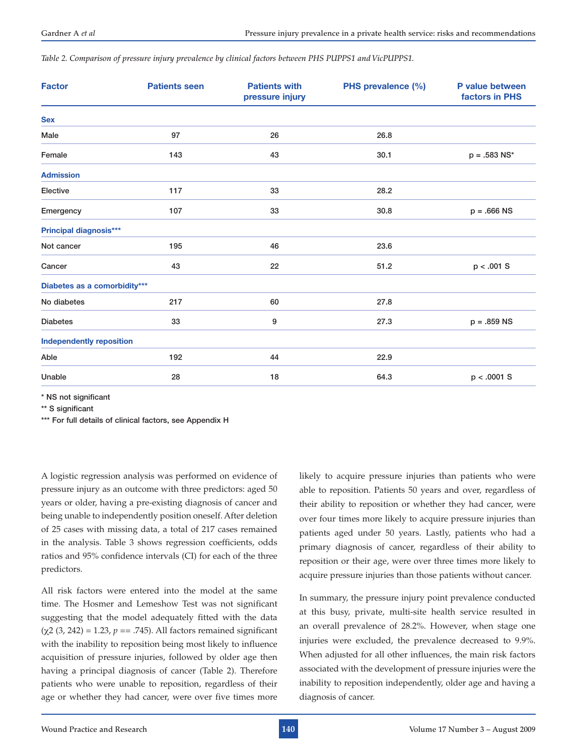*Table 2. Comparison of pressure injury prevalence by clinical factors between PHS PUPPS1 and VicPUPPS1.* 

| <b>Factor</b>                   | <b>Patients seen</b> | <b>Patients with</b><br>pressure injury | PHS prevalence (%) | P value between<br>factors in PHS |
|---------------------------------|----------------------|-----------------------------------------|--------------------|-----------------------------------|
| <b>Sex</b>                      |                      |                                         |                    |                                   |
| Male                            | 97                   | 26                                      | 26.8               |                                   |
| Female                          | 143                  | 43                                      | 30.1               | $p = .583$ NS*                    |
| <b>Admission</b>                |                      |                                         |                    |                                   |
| Elective                        | 117                  | 33                                      | 28.2               |                                   |
| Emergency                       | 107                  | 33                                      | 30.8               | $p = .666$ NS                     |
| <b>Principal diagnosis***</b>   |                      |                                         |                    |                                   |
| Not cancer                      | 195                  | 46                                      | 23.6               |                                   |
| Cancer                          | 43                   | 22                                      | 51.2               | p < .001 S                        |
| Diabetes as a comorbidity***    |                      |                                         |                    |                                   |
| No diabetes                     | 217                  | 60                                      | 27.8               |                                   |
| <b>Diabetes</b>                 | 33                   | 9                                       | 27.3               | $p = .859$ NS                     |
| <b>Independently reposition</b> |                      |                                         |                    |                                   |
| Able                            | 192                  | 44                                      | 22.9               |                                   |
| Unable                          | 28                   | 18                                      | 64.3               | p < .0001 S                       |

\* NS not significant

\*\* S significant

\*\*\* For full details of clinical factors, see Appendix H

A logistic regression analysis was performed on evidence of pressure injury as an outcome with three predictors: aged 50 years or older, having a pre-existing diagnosis of cancer and being unable to independently position oneself. After deletion of 25 cases with missing data, a total of 217 cases remained in the analysis. Table 3 shows regression coefficients, odds ratios and 95% confidence intervals (CI) for each of the three predictors.

All risk factors were entered into the model at the same time. The Hosmer and Lemeshow Test was not significant suggesting that the model adequately fitted with the data (χ2 (3, 242) = 1.23, *p* == .745). All factors remained significant with the inability to reposition being most likely to influence acquisition of pressure injuries, followed by older age then having a principal diagnosis of cancer (Table 2). Therefore patients who were unable to reposition, regardless of their age or whether they had cancer, were over five times more likely to acquire pressure injuries than patients who were able to reposition. Patients 50 years and over, regardless of their ability to reposition or whether they had cancer, were over four times more likely to acquire pressure injuries than patients aged under 50 years. Lastly, patients who had a primary diagnosis of cancer, regardless of their ability to reposition or their age, were over three times more likely to acquire pressure injuries than those patients without cancer.

In summary, the pressure injury point prevalence conducted at this busy, private, multi-site health service resulted in an overall prevalence of 28.2%. However, when stage one injuries were excluded, the prevalence decreased to 9.9%. When adjusted for all other influences, the main risk factors associated with the development of pressure injuries were the inability to reposition independently, older age and having a diagnosis of cancer.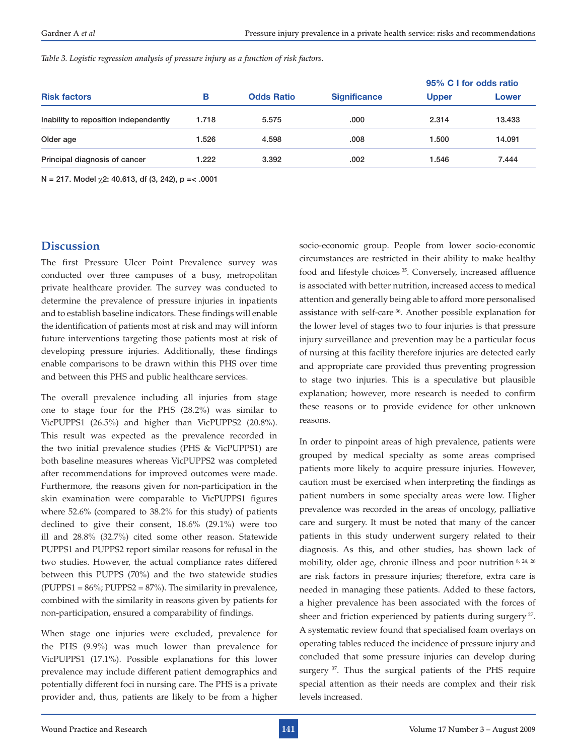*Table 3. Logistic regression analysis of pressure injury as a function of risk factors.*

|                                       |       |                   |                     | 95% C I for odds ratio |        |
|---------------------------------------|-------|-------------------|---------------------|------------------------|--------|
| <b>Risk factors</b>                   | в     | <b>Odds Ratio</b> | <b>Significance</b> | <b>Upper</b>           | Lower  |
| Inability to reposition independently | 1.718 | 5.575             | .000                | 2.314                  | 13.433 |
| Older age                             | 1.526 | 4.598             | .008                | 1.500                  | 14.091 |
| Principal diagnosis of cancer         | 1.222 | 3.392             | .002                | 1.546                  | 7.444  |

N = 217. Model  $\chi$ 2: 40.613, df (3, 242), p = < .0001

#### **Discussion**

The first Pressure Ulcer Point Prevalence survey was conducted over three campuses of a busy, metropolitan private healthcare provider. The survey was conducted to determine the prevalence of pressure injuries in inpatients and to establish baseline indicators. These findings will enable the identification of patients most at risk and may will inform future interventions targeting those patients most at risk of developing pressure injuries. Additionally, these findings enable comparisons to be drawn within this PHS over time and between this PHS and public healthcare services.

The overall prevalence including all injuries from stage one to stage four for the PHS (28.2%) was similar to VicPUPPS1 (26.5%) and higher than VicPUPPS2 (20.8%). This result was expected as the prevalence recorded in the two initial prevalence studies (PHS & VicPUPPS1) are both baseline measures whereas VicPUPPS2 was completed after recommendations for improved outcomes were made. Furthermore, the reasons given for non-participation in the skin examination were comparable to VicPUPPS1 figures where 52.6% (compared to 38.2% for this study) of patients declined to give their consent, 18.6% (29.1%) were too ill and 28.8% (32.7%) cited some other reason. Statewide PUPPS1 and PUPPS2 report similar reasons for refusal in the two studies. However, the actual compliance rates differed between this PUPPS (70%) and the two statewide studies  $(PUPPS1 = 86\%; PUPPS2 = 87\%).$  The similarity in prevalence, combined with the similarity in reasons given by patients for non-participation, ensured a comparability of findings.

When stage one injuries were excluded, prevalence for the PHS (9.9%) was much lower than prevalence for VicPUPPS1 (17.1%). Possible explanations for this lower prevalence may include different patient demographics and potentially different foci in nursing care. The PHS is a private provider and, thus, patients are likely to be from a higher

socio-economic group. People from lower socio-economic circumstances are restricted in their ability to make healthy food and lifestyle choices<sup>35</sup>. Conversely, increased affluence is associated with better nutrition, increased access to medical attention and generally being able to afford more personalised assistance with self-care 36. Another possible explanation for the lower level of stages two to four injuries is that pressure injury surveillance and prevention may be a particular focus of nursing at this facility therefore injuries are detected early and appropriate care provided thus preventing progression to stage two injuries. This is a speculative but plausible explanation; however, more research is needed to confirm these reasons or to provide evidence for other unknown reasons.

In order to pinpoint areas of high prevalence, patients were grouped by medical specialty as some areas comprised patients more likely to acquire pressure injuries. However, caution must be exercised when interpreting the findings as patient numbers in some specialty areas were low. Higher prevalence was recorded in the areas of oncology, palliative care and surgery. It must be noted that many of the cancer patients in this study underwent surgery related to their diagnosis. As this, and other studies, has shown lack of mobility, older age, chronic illness and poor nutrition 8, 24, 26 are risk factors in pressure injuries; therefore, extra care is needed in managing these patients. Added to these factors, a higher prevalence has been associated with the forces of sheer and friction experienced by patients during surgery<sup>27</sup>. A systematic review found that specialised foam overlays on operating tables reduced the incidence of pressure injury and concluded that some pressure injuries can develop during surgery <sup>37</sup>. Thus the surgical patients of the PHS require special attention as their needs are complex and their risk levels increased.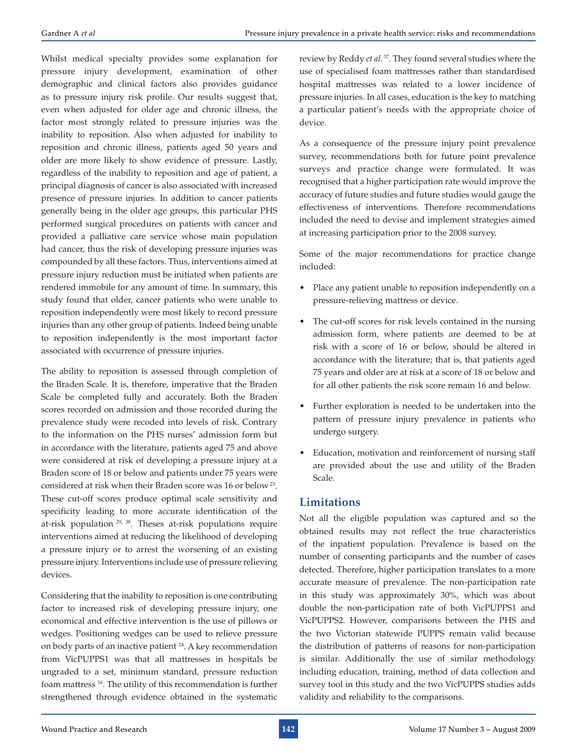Whilst medical specialty provides some explanation for pressure injury development, examination of other demographic and clinical factors also provides guidance as to pressure injury risk profile. Our results suggest that, even when adjusted for older age and chronic illness, the factor most strongly related to pressure injuries was the inability to reposition. Also when adjusted for inability to reposition and chronic illness, patients aged 50 years and older are more likely to show evidence of pressure. Lastly, regardless of the inability to reposition and age of patient, a principal diagnosis of cancer is also associated with increased presence of pressure injuries. In addition to cancer patients generally being in the older age groups, this particular PHS performed surgical procedures on patients with cancer and provided a palliative care service whose main population had cancer, thus the risk of developing pressure injuries was compounded by all these factors. Thus, interventions aimed at pressure injury reduction must be initiated when patients are rendered immobile for any amount of time. In summary, this study found that older, cancer patients who were unable to reposition independently were most likely to record pressure injuries than any other group of patients. Indeed being unable to reposition independently is the most important factor associated with occurrence of pressure injuries.

The ability to reposition is assessed through completion of the Braden Scale. It is, therefore, imperative that the Braden Scale be completed fully and accurately. Both the Braden scores recorded on admission and those recorded during the prevalence study were recoded into levels of risk. Contrary to the information on the PHS nurses' admission form but in accordance with the literature, patients aged 75 and above were considered at risk of developing a pressure injury at a Braden score of 18 or below and patients under 75 years were considered at risk when their Braden score was 16 or below 23. These cut-off scores produce optimal scale sensitivity and specificity leading to more accurate identification of the at-risk population 29, 38. Theses at-risk populations require interventions aimed at reducing the likelihood of developing a pressure injury or to arrest the worsening of an existing pressure injury. Interventions include use of pressure relieving devices.

Considering that the inability to reposition is one contributing factor to increased risk of developing pressure injury, one economical and effective intervention is the use of pillows or wedges. Positioning wedges can be used to relieve pressure on body parts of an inactive patient 24. A key recommendation from VicPUPPS1 was that all mattresses in hospitals be ungraded to a set, minimum standard, pressure reduction foam mattress 16. The utility of this recommendation is further strengthened through evidence obtained in the systematic

review by Reddy *et al*. 37. They found several studies where the use of specialised foam mattresses rather than standardised hospital mattresses was related to a lower incidence of pressure injuries. In all cases, education is the key to matching a particular patient's needs with the appropriate choice of device.

As a consequence of the pressure injury point prevalence survey, recommendations both for future point prevalence surveys and practice change were formulated. It was recognised that a higher participation rate would improve the accuracy of future studies and future studies would gauge the effectiveness of interventions. Therefore recommendations included the need to devise and implement strategies aimed at increasing participation prior to the 2008 survey.

Some of the major recommendations for practice change included:

- • Place any patient unable to reposition independently on a pressure-relieving mattress or device.
- The cut-off scores for risk levels contained in the nursing admission form, where patients are deemed to be at risk with a score of 16 or below, should be altered in accordance with the literature; that is, that patients aged 75 years and older are at risk at a score of 18 or below and for all other patients the risk score remain 16 and below.
- • Further exploration is needed to be undertaken into the pattern of pressure injury prevalence in patients who undergo surgery.
- Education, motivation and reinforcement of nursing staff are provided about the use and utility of the Braden Scale.

# **Limitations**

Not all the eligible population was captured and so the obtained results may not reflect the true characteristics of the inpatient population. Prevalence is based on the number of consenting participants and the number of cases detected. Therefore, higher participation translates to a more accurate measure of prevalence. The non-participation rate in this study was approximately 30%, which was about double the non-participation rate of both VicPUPPS1 and VicPUPPS2. However, comparisons between the PHS and the two Victorian statewide PUPPS remain valid because the distribution of patterns of reasons for non-participation is similar. Additionally the use of similar methodology including education, training, method of data collection and survey tool in this study and the two VicPUPPS studies adds validity and reliability to the comparisons.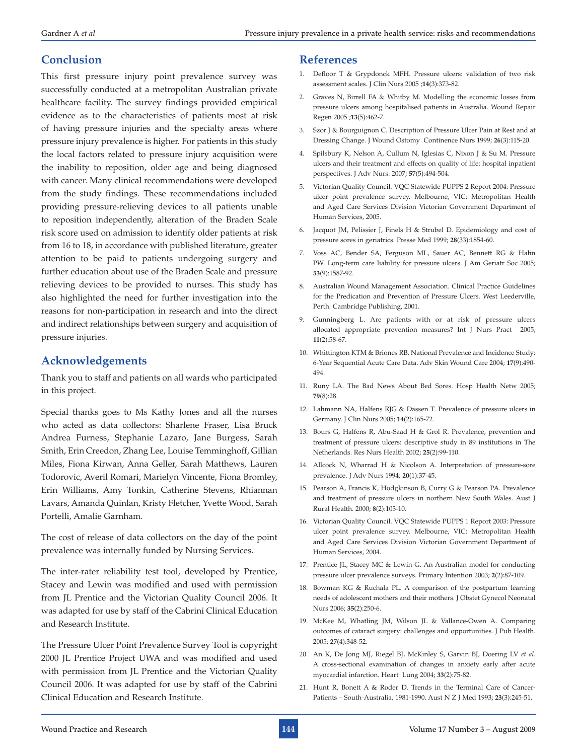#### **Conclusion**

This first pressure injury point prevalence survey was successfully conducted at a metropolitan Australian private healthcare facility. The survey findings provided empirical evidence as to the characteristics of patients most at risk of having pressure injuries and the specialty areas where pressure injury prevalence is higher. For patients in this study the local factors related to pressure injury acquisition were the inability to reposition, older age and being diagnosed with cancer. Many clinical recommendations were developed from the study findings. These recommendations included providing pressure-relieving devices to all patients unable to reposition independently, alteration of the Braden Scale risk score used on admission to identify older patients at risk from 16 to 18, in accordance with published literature, greater attention to be paid to patients undergoing surgery and further education about use of the Braden Scale and pressure relieving devices to be provided to nurses. This study has also highlighted the need for further investigation into the reasons for non-participation in research and into the direct and indirect relationships between surgery and acquisition of pressure injuries.

# **Acknowledgements**

Thank you to staff and patients on all wards who participated in this project.

Special thanks goes to Ms Kathy Jones and all the nurses who acted as data collectors: Sharlene Fraser, Lisa Bruck Andrea Furness, Stephanie Lazaro, Jane Burgess, Sarah Smith, Erin Creedon, Zhang Lee, Louise Temminghoff, Gillian Miles, Fiona Kirwan, Anna Geller, Sarah Matthews, Lauren Todorovic, Averil Romari, Marielyn Vincente, Fiona Bromley, Erin Williams, Amy Tonkin, Catherine Stevens, Rhiannan Lavars, Amanda Quinlan, Kristy Fletcher, Yvette Wood, Sarah Portelli, Amalie Garnham.

The cost of release of data collectors on the day of the point prevalence was internally funded by Nursing Services.

The inter-rater reliability test tool, developed by Prentice, Stacey and Lewin was modified and used with permission from JL Prentice and the Victorian Quality Council 2006. It was adapted for use by staff of the Cabrini Clinical Education and Research Institute.

The Pressure Ulcer Point Prevalence Survey Tool is copyright 2000 JL Prentice Project UWA and was modified and used with permission from JL Prentice and the Victorian Quality Council 2006. It was adapted for use by staff of the Cabrini Clinical Education and Research Institute.

#### **References**

- 1. Defloor T & Grypdonck MFH. Pressure ulcers: validation of two risk assessment scales. J Clin Nurs 2005 ;**14**(3):373-82.
- 2. Graves N, Birrell FA & Whitby M. Modelling the economic losses from pressure ulcers among hospitalised patients in Australia. Wound Repair Regen 2005 ;**13**(5):462-7.
- 3. Szor J & Bourguignon C. Description of Pressure Ulcer Pain at Rest and at Dressing Change. J Wound Ostomy Continence Nurs 1999; **26**(3):115-20.
- 4. Spilsbury K, Nelson A, Cullum N, Iglesias C, Nixon J & Su M. Pressure ulcers and their treatment and effects on quality of life: hospital inpatient perspectives. J Adv Nurs. 2007; **57**(5):494-504.
- 5. Victorian Quality Council. VQC Statewide PUPPS 2 Report 2004: Pressure ulcer point prevalence survey. Melbourne, VIC: Metropolitan Health and Aged Care Services Division Victorian Government Department of Human Services, 2005.
- 6. Jacquot JM, Pelissier J, Finels H & Strubel D. Epidemiology and cost of pressure sores in geriatrics. Presse Med 1999; **28**(33):1854-60.
- 7. Voss AC, Bender SA, Ferguson ML, Sauer AC, Bennett RG & Hahn PW. Long-term care liability for pressure ulcers. J Am Geriatr Soc 2005; **53**(9):1587-92.
- 8. Australian Wound Management Association. Clinical Practice Guidelines for the Predication and Prevention of Pressure Ulcers. West Leederville, Perth: Cambridge Publishing, 2001.
- 9. Gunningberg L. Are patients with or at risk of pressure ulcers allocated appropriate prevention measures? Int J Nurs Pract 2005; **11**(2):58-67.
- 10. Whittington KTM & Briones RB. National Prevalence and Incidence Study: 6-Year Sequential Acute Care Data. Adv Skin Wound Care 2004; **17**(9):490- 494.
- 11. Runy LA. The Bad News About Bed Sores. Hosp Health Netw 2005; **79**(8):28.
- 12. Lahmann NA, Halfens RJG & Dassen T. Prevalence of pressure ulcers in Germany. J Clin Nurs 2005; **14**(2):165-72.
- 13. Bours G, Halfens R, Abu-Saad H & Grol R. Prevalence, prevention and treatment of pressure ulcers: descriptive study in 89 institutions in The Netherlands. Res Nurs Health 2002; **25**(2):99-110.
- 14. Allcock N, Wharrad H & Nicolson A. Interpretation of pressure-sore prevalence. J Adv Nurs 1994; **20**(1):37-45.
- 15. Pearson A, Francis K, Hodgkinson B, Curry G & Pearson PA. Prevalence and treatment of pressure ulcers in northern New South Wales. Aust J Rural Health. 2000; **8**(2):103-10.
- 16. Victorian Quality Council. VQC Statewide PUPPS 1 Report 2003: Pressure ulcer point prevalence survey. Melbourne, VIC: Metropolitan Health and Aged Care Services Division Victorian Government Department of Human Services, 2004.
- 17. Prentice JL, Stacey MC & Lewin G. An Australian model for conducting pressure ulcer prevalence surveys. Primary Intention 2003; **2**(2):87-109.
- 18. Bowman KG & Ruchala PL. A comparison of the postpartum learning needs of adolescent mothers and their mothers. J Obstet Gynecol Neonatal Nurs 2006; **35**(2):250-6.
- 19. McKee M, Whatling JM, Wilson JL & Vallance-Owen A. Comparing outcomes of cataract surgery: challenges and opportunities. J Pub Health. 2005; **27**(4):348-52.
- 20. An K, De Jong MJ, Riegel BJ, McKinley S, Garvin BJ, Doering LV *et al*. A cross-sectional examination of changes in anxiety early after acute myocardial infarction. Heart Lung 2004; **33**(2):75-82.
- 21. Hunt R, Bonett A & Roder D. Trends in the Terminal Care of Cancer-Patients – South-Australia, 1981-1990. Aust N Z J Med 1993; **23**(3):245-51.